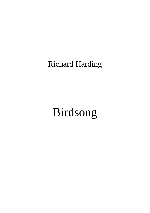## Richard Harding

## Birdsong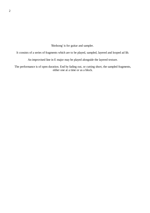'Birdsong' is for guitar and sampler.

It consists of a series of fragments which are to be played, sampled, layered and looped ad lib.

An improvised line in E major may be played alongside the layered texture.

The performance is of open duration. End by fading out, or cutting short, the sampled fragments, either one at a time or as a block.